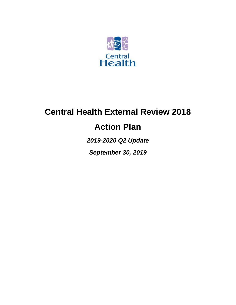

# **Central Health External Review 2018**

## **Action Plan**

*2019-2020 Q2 Update*

*September 30, 2019*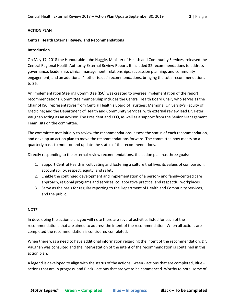#### **ACTION PLAN**

#### **Central Health External Review and Recommendations**

#### **Introduction**

On May 17, 2018 the Honourable John Haggie, Minister of Health and Community Services, released the Central Regional Health Authority External Review Report. It included 32 recommendations to address governance, leadership, clinical management, relationships, succession planning, and community engagement; and an additional 4 'other issues' recommendations, bringing the total recommendations to 36.

An Implementation Steering Committee (ISC) was created to oversee implementation of the report recommendations. Committee membership includes the Central Health Board Chair, who serves as the Chair of ISC; representatives from Central Health's Board of Trustees; Memorial University's Faculty of Medicine; and the Department of Health and Community Services; with external review lead Dr. Peter Vaughan acting as an advisor. The President and CEO, as well as a support from the Senior Management Team, sits on the committee.

The committee met initially to review the recommendations, assess the status of each recommendation, and develop an action plan to move the recommendations forward. The committee now meets on a quarterly basis to monitor and update the status of the recommendations.

Directly responding to the external review recommendations, the action plan has three goals:

- 1. Support Central Health in cultivating and fostering a culture that lives its values of compassion, accountability, respect, equity, and safety.
- 2. Enable the continued development and implementation of a person- and family-centred care approach, regional programs and services, collaborative practice, and respectful workplaces.
- 3. Serve as the basis for regular reporting to the Department of Health and Community Services, and the public.

#### **NOTE**

In developing the action plan, you will note there are several activities listed for each of the recommendations that are aimed to address the intent of the recommendation. When all actions are completed the recommendation is considered completed.

When there was a need to have additional information regarding the intent of the recommendation, Dr. Vaughan was consulted and the interpretation of the intent of the recommendation is contained in this action plan.

A legend is developed to align with the status of the actions: Green - actions that are completed, Blue actions that are in progress, and Black - actions that are yet to be commenced. Worthy to note, some of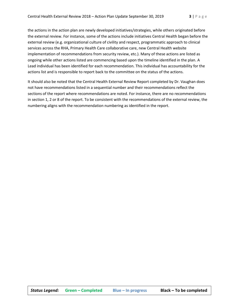the actions in the action plan are newly developed initiatives/strategies, while others originated before the external review. For instance, some of the actions include initiatives Central Health began before the external review (e.g. organizational culture of civility and respect, programmatic approach to clinical services across the RHA, Primary Health Care collaborative care, new Central Health website implementation of recommendations from security review, etc.). Many of these actions are listed as ongoing while other actions listed are commencing based upon the timeline identified in the plan. A Lead individual has been identified for each recommendation. This individual has accountability for the actions list and is responsible to report back to the committee on the status of the actions.

It should also be noted that the Central Health External Review Report completed by Dr. Vaughan does not have recommendations listed in a sequential number and their recommendations reflect the sections of the report where recommendations are noted. For instance, there are no recommendations in section 1, 2 or 8 of the report. To be consistent with the recommendations of the external review, the numbering aligns with the recommendation numbering as identified in the report.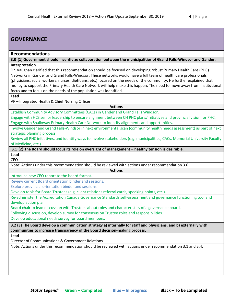## **GOVERNANCE**

#### **Recommendations**

**3.0 (1) Government should incentivize collaboration between the municipalities of Grand Falls-Windsor and Gander. Interpretation**

Dr. Vaughan clarified that this recommendation should be focused on developing robust Primary Health Care (PHC) Networks in Gander and Grand Falls-Windsor. These networks would have a full team of health care professionals (physicians, social workers, nurses, dietitians, etc.) focused on the needs of the community. He further explained that money to support the Primary Health Care Network will help make this happen. The need to move away from institutional focus and to focus on the needs of the population was identified.

**Lead**

VP – Integrated Health & Chief Nursing Officer

**Actions**

Establish Community Advisory Committees (CACs) in Gander and Grand Falls Windsor.

Engage with HCS senior leadership to ensure alignment between CH PHC plans/initiatives and provincial vision for PHC.

Engage with Shalloway Primary Health Care Network to identify alignments and opportunities.

Involve Gander and Grand Falls-Windsor in next environmental scan (community health needs assessment) as part of next strategic planning process.

Review all PHC initiatives, and identify ways to involve stakeholders (e.g. municipalities, CACs, Memorial University Faculty of Medicine, etc.).

**Actions**

**3.1 (2) The Board should focus its role on oversight of management – healthy tension is desirable.**

**Lead** CEO

Note: Actions under this recommendation should be reviewed with actions under recommendation 3.6.

Introduce new CEO report to the board format.

Review current Board orientation binder and sessions.

Explore provincial orientation binder and sessions.

Develop tools for Board Trustees (e.g. client relations referral cards, speaking points, etc.).

Re-administer the Accreditation Canada Governance Standards self-assessment and governance functioning tool and develop action plan.

Board chair to lead discussion with Trustees about roles and characteristics of a governance board.

Following discussion, develop survey for consensus on Trustee roles and responsibilities.

Develop educational needs survey for board members.

**3.2 (3) The Board develop a communication strategy a) internally for staff and physicians, and b) externally with communities to increase transparency of the Board decision-making process.**

**Lead**

Director of Communications & Government Relations

Note: Actions under this recommendation should be reviewed with actions under recommendation 3.1 and 3.4.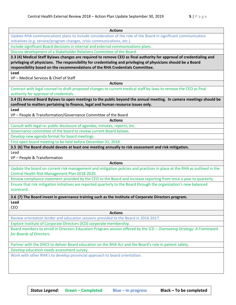| <b>Actions</b>                                                                                                                                                             |
|----------------------------------------------------------------------------------------------------------------------------------------------------------------------------|
| Update RHA communications plans to include consideration of the role of the Board in significant communication                                                             |
| initiatives (e.g. service/program changes, crisis communications, etc.).                                                                                                   |
| Include significant Board decisions in internal and external communications plans.                                                                                         |
| Discuss development of a Stakeholder Relations Committee of the Board.                                                                                                     |
| 3.3 (4) Medical Staff Bylaws changes are required to remove CEO as final authority for approval of credentialing and                                                       |
| privileging of physicians. The responsibility for credentialing and privileging of physicians should be a Board                                                            |
| responsibility based on the recommendations of the RHA Credentials Committee.                                                                                              |
| Lead                                                                                                                                                                       |
| VP - Medical Services & Chief of Staff                                                                                                                                     |
| <b>Actions</b>                                                                                                                                                             |
| Contract with legal counsel to draft proposed changes to current medical staff by-laws to remove the CEO as final                                                          |
| authority for approval of credentials.                                                                                                                                     |
| 3.4 (5) Amend Board Bylaws to open meetings to the public beyond the annual meeting. In camera meetings should be                                                          |
| confined to matters pertaining to finance, legal and human resource issues only.                                                                                           |
| Lead                                                                                                                                                                       |
| VP-People & Transformation/Governance Committee of the Board                                                                                                               |
| <b>Actions</b>                                                                                                                                                             |
| Consult with legal re: public disclosure of agendas, minutes, reports, etc.                                                                                                |
| Governance committee of the board to review current Board bylaws.                                                                                                          |
| Develop new agenda format for board meetings.                                                                                                                              |
| First open board meeting to be held before December 31, 2018.                                                                                                              |
| 3.5 (6) The Board should devote at least one meeting annually to risk assessment and risk mitigation.                                                                      |
| Lead                                                                                                                                                                       |
| VP - People & Transformation<br><b>Actions</b>                                                                                                                             |
|                                                                                                                                                                            |
| Update the board on current risk management and mitigation policies and practices in place at the RHA as outlined in the<br>Central Health Risk Management Plan 2018-2020. |
| Review compliance statement provided by the CEO to the Board and increase reporting from once a year to quarterly.                                                         |
| Ensure that risk mitigation initiatives are reported quarterly to the Board through the organization's new balanced                                                        |
| scorecard.                                                                                                                                                                 |
|                                                                                                                                                                            |
| 3.6 (7) The Board invest in governance training such as the Institute of Corporate Directors program.                                                                      |
| Lead                                                                                                                                                                       |
| <b>CEO</b>                                                                                                                                                                 |
| <b>Actions</b>                                                                                                                                                             |
| Review orientation binder and education sessions provided to the Board in 2016-2017.                                                                                       |
| Explore Institute of Corporate Directors (ICD) corporate membership.                                                                                                       |
| Board members to enroll in Directors Education Program session offered by the ICD - Overseeing Strategy: A Framework                                                       |
| for Boards of Directors.                                                                                                                                                   |
|                                                                                                                                                                            |
| Partner with the DHCS to deliver Board education on the RHA Act and the Board's role in patient safety.                                                                    |
| Develop education needs assessment survey.                                                                                                                                 |
| Work with other RHA's to develop provincial approach to board orientation.                                                                                                 |
|                                                                                                                                                                            |
|                                                                                                                                                                            |
|                                                                                                                                                                            |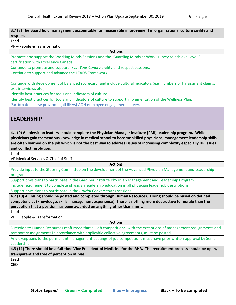#### **3.7 (8) The Board hold management accountable for measurable improvement in organizational culture civility and respect.**

#### **Lead**

VP – People & Transformation

**Actions**

Promote and support the Working Minds Sessions and the 'Guarding Minds at Work' survey to achieve Level 3 certification with Excellence Canada.

Continue to promote and support *Trust Your Canary* civility and respect sessions.

Continue to support and advance the LEADS Framework.

Continue with development of balanced scorecard, and include cultural indicators (e.g. numbers of harassment claims, exit interviews etc.).

Identify best practices for tools and indicators of culture.

Identify best practices for tools and indicators of culture to support implementation of the Wellness Plan.

Participate in new provincial (all RHAs) AON employee engagement survey.

## **LEADERSHIP**

**4.1 (9) All physician leaders should complete the Physician Manager Institute (PMI) leadership program. While physicians gain tremendous knowledge in medical school to become skilled physicians, management leadership skills are often learned on the job which is not the best way to address issues of increasing complexity especially HR issues and conflict resolution.**

**Lead**

VP Medical Services & Chief of Staff

**Actions**

Provide input to the Steering Committee on the development of the Advanced Physician Management and Leadership program.

Support physicians to participate in the Gardiner Institute Physician Management and Leadership Program.

Include requirement to complete physician leadership education in all physician leader job descriptions.

Support physicians to participate in the *Crucial Conversations* sessions.

**4.2 (10) All hiring should be posted and completed through Human Resources. Hiring should be based on defined competencies (knowledge, skills, management experience). There is nothing more destructive to morale than the perception that a position has been awarded on anything other than merit.**

**Lead**

VP – People & Transformation

**Actions**

Direction to Human Resources reaffirmed that all job competitions, with the exceptions of management realignments and temporary assignments in accordance with applicable collective agreements, must be posted.

Any exceptions to the permanent management postings of job competitions must have prior written approval by Senior Leadership.

**4.3 (11) There should be a full-time Vice President of Medicine for the RHA. The recruitment process should be open, transparent and free of perception of bias.**

**Lead**

CEO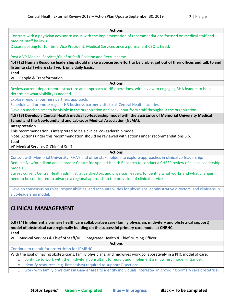| <b>Actions</b>                                                                                                                                                                                                      |  |
|---------------------------------------------------------------------------------------------------------------------------------------------------------------------------------------------------------------------|--|
| Contract with a physician advisor to assist with the implementation of recommendations focused on medical staff and<br>medical staff by-laws.                                                                       |  |
| Discuss posting for full-time Vice President, Medical Services once a permanent CEO is hired.                                                                                                                       |  |
| Post a VP Medical Services/Chief of Staff Position and Recruit same.                                                                                                                                                |  |
| 4.4 (12) Human Resource leadership should make a concerted effort to be visible, get out of their offices and talk to and                                                                                           |  |
| listen to staff where staff work on a daily basis.                                                                                                                                                                  |  |
| Lead<br>VP - People & Transformation                                                                                                                                                                                |  |
| <b>Actions</b>                                                                                                                                                                                                      |  |
| Review current departmental structure and approach to HR operations, with a view to engaging RHA leaders to help<br>determine what visibility is needed.                                                            |  |
| Explore regional business partners approach.                                                                                                                                                                        |  |
| Schedule and promote regular HR business partner visits to all Central Health facilities.                                                                                                                           |  |
| Develop mechanisms to be visible in the organization and seek input from staff throughout the organization.                                                                                                         |  |
| 4.5 (13) Develop a Central Health medical co-leadership model with the assistance of Memorial University Medical                                                                                                    |  |
| School and the Newfoundland and Labrador Medical Association (NLMA).                                                                                                                                                |  |
| Interpretation                                                                                                                                                                                                      |  |
| This recommendation is interpreted to be a clinical co-leadership model.<br>Note: Actions under this recommendation should be reviewed with actions under recommendations 5.6.                                      |  |
| Lead                                                                                                                                                                                                                |  |
| VP Medical Services & Chief of Staff                                                                                                                                                                                |  |
| <b>Actions</b>                                                                                                                                                                                                      |  |
| Consult with Memorial University, RHA's and other stakeholders to explore approaches in clinical co-leadership.                                                                                                     |  |
| Request Newfoundland and Labrador Centre for Applied Health Research to conduct a CHRSP review of clinical leadership                                                                                               |  |
| models.                                                                                                                                                                                                             |  |
| Survey current Central Health administrative directors and physician leaders to identify what works and what changes<br>need to be considered to advance a regional approach to the provision of clinical services. |  |
| Develop consensus on roles, responsibilities, and accountabilities for physicians, administrative directors, and clinicians in                                                                                      |  |
| a co-leadership model.                                                                                                                                                                                              |  |
|                                                                                                                                                                                                                     |  |
| <b>CLINICAL MANAGEMENT</b>                                                                                                                                                                                          |  |
| 5.0 (14) Implement a primary health care collaborative care (family physician, midwifery and obstetrical support)                                                                                                   |  |
| model of obstetrical care regionally building on the successful primary care model at CNRHC.                                                                                                                        |  |
| Lead                                                                                                                                                                                                                |  |
| VP - Medical Services & Chief of Staff/VP - Integrated Health & Chief Nursing Officer                                                                                                                               |  |
| <b>Actions</b>                                                                                                                                                                                                      |  |
| Continue to recruit for obstetrician for JPMRHC.                                                                                                                                                                    |  |
| With the goal of having obstetricians, family physicians, and midwives work collaboratively in a PHC model of care:                                                                                                 |  |
|                                                                                                                                                                                                                     |  |
| continue to work with the midwifery consultant to recruit and implement a midwifery model in Gander.<br>$\circ$                                                                                                     |  |
| identify resources (e.g. first assists) required to support C-sections.<br>$\circ$<br>work with family physicians in Gander area to identify individuals interested in providing primary care obstetrical           |  |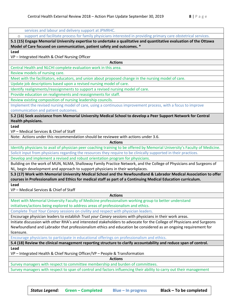| services and labour and delivery support at JPMRHC.                                                                          |
|------------------------------------------------------------------------------------------------------------------------------|
| support and facilitate process for family physicians interested in providing primary care obstetrical services.<br>$\circ$   |
| 5.1 (15) Engage Memorial University expertise to undertake a qualitative and quantitative evaluation of the Ottawa           |
| Model of Care focused on communication, patient safety and outcomes. *                                                       |
| Lead                                                                                                                         |
| VP - Integrated Health & Chief Nursing Officer                                                                               |
| <b>Actions</b>                                                                                                               |
| Central Health and NLCHI complete evaluation work in this area.                                                              |
| Review models of nursing care.                                                                                               |
| Meet with the facilitators, educators, and union about proposed change in the nursing model of care.                         |
| Update job descriptions based upon a revised nursing model of care.                                                          |
| Identify realignments/reassignments to support a revised nursing model of care.                                              |
| Provide education on realignments and reassignments for staff.                                                               |
| Review existing composition of nursing leadership councils.                                                                  |
| Implement the revised nursing model of care, using a continuous improvement process, with a focus to improve                 |
| communication and patient outcomes.                                                                                          |
| 5.2 (16) Seek assistance from Memorial University Medical School to develop a Peer Support Network for Central               |
| Health physicians.                                                                                                           |
| Lead                                                                                                                         |
| VP - Medical Services & Chief of Staff                                                                                       |
| Note: Actions under this recommendation should be reviewee with actions under 3.6.                                           |
| <b>Actions</b>                                                                                                               |
| Identify physicians to avail of physician peer coaching training to be offered by Memorial University's Faculty of Medicine. |
| Solicit input from physicians regarding the resources they require to be clinically supported in their practices.            |
| Develop and implement a revised and robust orientation program for physicians.                                               |
| Building on the work of MUN, NLMA, Shalloway Family Practice Network, and the College of Physicians and Surgeons of          |
| NL, begin development and approach to support physicians in their workplaces.                                                |
| 5.3 (17) Work with Memorial University Medical School and the Newfoundland & Labrador Medical Association to offer           |
| courses in Professionalism and Ethics for medical staff as part of a Continuing Medical Education curriculum.                |
| Lead                                                                                                                         |
| VP - Medical Services & Chief of Staff                                                                                       |
| <b>Actions</b>                                                                                                               |
| Meet with Memorial University Faculty of Medicine professionalism working group to better understand                         |
| initiatives/actions being explored to address areas of professionalism and ethics.                                           |
| Complete Trust Your Canary sessions on civility and respect with physician leaders.                                          |
| Encourage physician leaders to establish Trust your Canary sessions with physicians in their work areas.                     |
| Initiate discussion with other RHA's and interested stakeholders to advocate for the College of Physicians and Surgeons      |
| Newfoundland and Labrador that professionalism ethics and education be considered as an ongoing requirement for              |
| licensure.                                                                                                                   |
| Encourage physicians to participate in educational offerings on professionalism and ethics.                                  |
| 5.4 (18) Review the clinical management reporting structure to clarify accountability and reduce span of control.            |
| Lead                                                                                                                         |
| VP - Integrated Health & Chief Nursing Officer/VP - People & Transformation                                                  |
| <b>Actions</b>                                                                                                               |
| Survey managers with respect to committee membership and burden of committees.                                               |
| Survey managers with respect to span of control and factors influencing their ability to carry out their management          |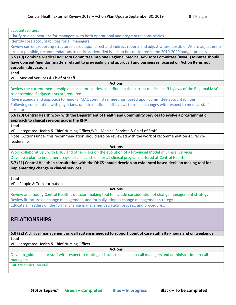| accountabilities.                                                                                                       |
|-------------------------------------------------------------------------------------------------------------------------|
| Clarify role delineations for managers with both operational and program responsibilities.                              |
| Identify core accountabilities for all managers.                                                                        |
| Review current reporting structures based upon direct and indirect reports and adjust where possible. Where adjustments |
| are not possible, recommendations to address identified issues to be considered in the 2019-2020 budget process.        |
| 5.5 (19) Combine Medical Advisory Committee into one Regional Medical Advisory Committee (RMAC) Minutes should          |
| have Consent Agendas (matters related to pre-reading and approval) and businesses focused on Action Items not           |
| verbatim discussions.                                                                                                   |
| Lead<br>VP - Medical Services & Chief of Staff                                                                          |
| <b>Actions</b>                                                                                                          |
| Review the current membership and accountabilities, as defined in the current medical staff bylaws of the Regional MAC  |
| to determine if adjustments are required.                                                                               |
| Revise agenda and approach to regional MAC committee meetings, based upon committee accountabilities.                   |
| Following consultation with physicians, update medical staff bylaws to reflect changes with respect to medical staff    |
| structure.                                                                                                              |
| 5.6 (20) Central Health work with the Department of Health and Community Services to evolve a programmatic              |
| approach to clinical services across the RHA.                                                                           |
| Lead                                                                                                                    |
| VP - Integrated Health & Chief Nursing Officer/VP - Medical Services & Chief of Staff                                   |
| Note: Actions under this recommendation should also be reviewed with the work of recommendation 4.5 re: co-             |
| leadership                                                                                                              |
| <b>Actions</b>                                                                                                          |
| Work collaboratively with DHCS and other RHAs on the evolution of a Provincial Model of Clinical Services.              |
| Develop a plan to implement regional clinical chiefs for all clinical programs offered at Central Health.               |
| 5.7 (21) Central Health in consultation with the DHCS should develop an evidenced based decision making tool for        |
| implementing change in clinical services                                                                                |
| Lead                                                                                                                    |
| VP - People & Transformation                                                                                            |
| <b>Actions</b>                                                                                                          |
| Review and modify Central Health's decision-making tool to include consideration of change management strategy.         |
| Review literature on change management, and formally adopt a change management strategy.                                |
| Educate all leaders on the formal change management strategy, process, and procedures.                                  |
|                                                                                                                         |
|                                                                                                                         |
| <b>RELATIONSHIPS</b>                                                                                                    |
|                                                                                                                         |
| 6.0 (22) A clinical management on-call system is needed to support point of care staff after-hours and on weekends.     |
| Lead                                                                                                                    |
| VP - Integrated Health & Chief Nursing Officer                                                                          |
| <b>Actions</b>                                                                                                          |
| Develop guidelines for staff with respect to routing of issues to clinical on-call managers and administration on-call  |
| managers.                                                                                                               |
| Initiate clinical on call.                                                                                              |
|                                                                                                                         |
|                                                                                                                         |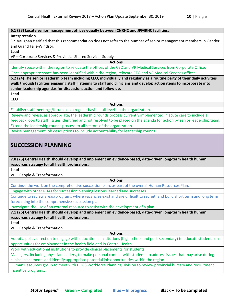#### **6.1 (23) Locate senior management offices equally between CNRHC and JPMRHC facilities.**

#### **Interpretation**

Dr. Vaughan clarified that this recommendation does not refer to the number of senior management members in Gander and Grand Falls-Windsor.

#### **Lead**

VP – Corporate Services & Provincial Shared Services Supply

**Actions**

Identify space within the region to relocate the offices of the CEO and VP Medical Services from Corporate Office. Once appropriate space has been identified within the region, relocate CEO and VP Medical Services offices.

**6.2 (24) The senior leadership team including CEO, individually and regularly as a routine party of their daily activities walk through facilities engaging staff, listening to staff and clinicians and develop action items to incorporate into senior leadership agendas for discussion, action and follow up.**

**Lead**

CEO

**Actions**

Establish staff meetings/forums on a regular basis at all levels in the organization.

Review and revise, as appropriate, the leadership rounds process currently implemented in acute care to include a feedback loop to staff. Issues identified and not resolved to be placed on the agenda for action by senior leadership team. Extend the leadership rounds process to all sectors of the organization.

Revise management job descriptions to include accountability for leadership rounds.

## **SUCCESSION PLANNING**

**7.0 (25) Central Health should develop and implement an evidence-based, data-driven long-term health human resources strategy for all health professions.**

**Lead**

VP – People & Transformation

**Actions**

Continue the work on the comprehensive succession plan, as part of the overall Human Resources Plan.

Engage with other RHAs for succession planning lessons learned and successes.

Continue to review areas/programs where vacancies exist and are difficult to recruit, and build short term and long term forecasting into the comprehensive succession plan.

Investigate the use of an external resource to assist with the development of a plan.

**7.1 (26) Central Health should develop and implement an evidence-based, data-driven long-term health human resources strategy for all health professions.**

**Lead**

VP – People & Transformation

**Actions**

Adopt a policy direction to engage with educational institutions (high school and post-secondary) to educate students on opportunities for employment in the health field and in Central Health.

Work with educational institutions to provide clinical placements for students.

Managers, including physician leaders, to make personal contact with students to address issues that may arise during clinical placements and identify appropriate potential job opportunities within the region.

Human Resources group to meet with DHCS Workforce Planning Division to review provincial bursary and recruitment incentive programs.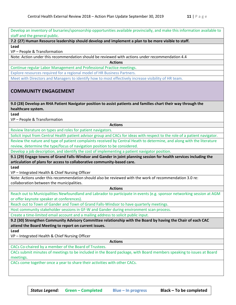Develop an inventory of bursaries/sponsorship opportunities available provincially, and make this information available to staff and the general public.

**7.2 (27) Human Resource leadership should develop and implement a plan to be more visible to staff. Lead**

VP – People & Transformation

Note: Action under this recommendation should be reviewed with actions under recommendation 4.4

**Actions**

Continue regular Labor Management and Professional Practice meetings.

Explore resources required for a regional model of HR Business Partners.

Meet with Directors and Managers to identify how to most effectively increase visibility of HR team.

### **COMMUNITY ENGAGEMENT**

**9.0 (28) Develop an RHA Patient Navigator position to assist patients and families chart their way through the healthcare system.**

**Lead**

VP – People & Transformation

Review literature on types and roles for patient navigators.

Solicit input from Central Health patient advisor group and CACs for ideas with respect to the role of a patient navigator.

**Actions**

Review the nature and type of patient complaints received by Central Heath to determine, and along with the literature review, determine the type/focus of navigation position to be considered.

Develop a job description, and identify the cost of implementing a patient navigator position.

**9.1 (29) Engage towns of Grand Falls-Windsor and Gander in joint planning session for health services including the articulation of plans for access to collaborative community-based care.**

**Lead**

VP – Integrated Health & Chief Nursing Officer

Note: Actions under this recommendation should also be reviewed with the work of recommendation 3.0 re: collaboration between the municipalities.

**Actions**

Reach out to Municipalities Newfoundland and Labrador to participate in events (e.g. sponsor networking session at AGM or offer keynote speaker at conferences).

Reach out to Town of Gander and Town of Grand Falls-Windsor to have quarterly meetings.

Host community stakeholder sessions in GF-W and Gander during environment scan process.

Create a time-limited email account and a mailing address to solicit public input.

**9.2 (30) Strengthen Community Advisory Committee relationship with the Board by having the Chair of each CAC attend the Board Meeting to report on current issues.**

**Lead**

VP – Integrated Health & Chief Nursing Officer

**Actions**

CACs Co-chaired by a member of the Board of Trustees.

CACs submit minutes of meetings to be included in the Board package, with Board members speaking to issues at Board meetings.

CACs come together once a year to share their activities with other CACs.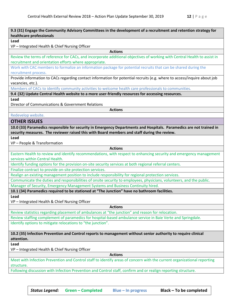| 9.3 (31) Engage the Community Advisory Committees in the development of a recruitment and retention strategy for<br>healthcare professionals                                                                       |
|--------------------------------------------------------------------------------------------------------------------------------------------------------------------------------------------------------------------|
| Lead                                                                                                                                                                                                               |
| VP - Integrated Health & Chief Nursing Officer                                                                                                                                                                     |
| <b>Actions</b>                                                                                                                                                                                                     |
| Review the terms of reference for CACs, and incorporate additional objectives of working with Central Health to assist in                                                                                          |
| recruitment and orientation efforts where appropriate.                                                                                                                                                             |
| Work with CAC members to formalize an information package for potential recruits that can be shared during the                                                                                                     |
| recruitment process.                                                                                                                                                                                               |
| Provide information to CACs regarding contact information for potential recruits (e.g. where to access/inquire about job<br>vacancies, etc.).                                                                      |
| Members of CACs to identify community activities to welcome health care professionals to communities.                                                                                                              |
| 9.4 (32) Update Central Health website to a more user-friendly resources for accessing resources.                                                                                                                  |
| Lead                                                                                                                                                                                                               |
| Director of Communications & Government Relations                                                                                                                                                                  |
| <b>Actions</b>                                                                                                                                                                                                     |
| Redevelop website.                                                                                                                                                                                                 |
| <b>OTHER ISSUES</b>                                                                                                                                                                                                |
| 10.0 (33) Paramedics responsible for security in Emergency Departments and Hospitals. Paramedics are not trained in<br>security measures. The reviewer raised this with Board members and staff during the review. |
| Lead                                                                                                                                                                                                               |
| VP - People & Transformation                                                                                                                                                                                       |
| <b>Actions</b>                                                                                                                                                                                                     |
| Eastern Health to review and identify recommendations, with respect to enhancing security and emergency management                                                                                                 |
| services within Central Health.                                                                                                                                                                                    |
| Identify funding options for the provision on-site security services at both regional referral centers.                                                                                                            |
| Finalize contract to provide on-site protection services.                                                                                                                                                          |
| Realign an existing management position to include responsibility for regional protection services.                                                                                                                |
| Communicate the duties and responsibilities of onsite security to employees, physicians, volunteers, and the public.                                                                                               |
| Manager of Security, Emergency Management Systems and Business Continuity hired.                                                                                                                                   |
| 10.1 (34) Paramedics required to be stationed at "The Junction" have no bathroom facilities.                                                                                                                       |
| Lead                                                                                                                                                                                                               |
| VP-Integrated Health & Chief Nursing Officer                                                                                                                                                                       |
| <b>Actions</b>                                                                                                                                                                                                     |
| Review statistics regarding placement of ambulances at "the junction" and reason for relocation.                                                                                                                   |
| Review staffing complement of paramedics for hospital-based ambulance service in Baie Verte and Springdale.                                                                                                        |
| Identify options to mitigate relocations to "the junction".                                                                                                                                                        |
| 10.2 (35) Infection Prevention and Control reports to management without senior authority to require clinical                                                                                                      |
| attention.                                                                                                                                                                                                         |
| Lead                                                                                                                                                                                                               |
| VP-Integrated Health & Chief Nursing Officer                                                                                                                                                                       |
| <b>Actions</b>                                                                                                                                                                                                     |
| Meet with Infection Prevention and Control staff to identify areas of concern with the current organizational reporting<br>structure.                                                                              |
| Following discussion with Infection Prevention and Control staff, confirm and or realign reporting structure.                                                                                                      |
|                                                                                                                                                                                                                    |

*Status Legend:* **Green – Completed Blue – In progress Black – To be completed**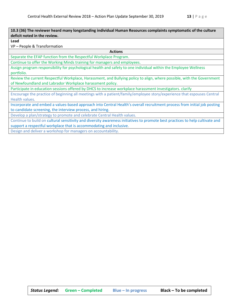**10.3 (36) The reviewer heard many longstanding individual Human Resources complaints symptomatic of the culture deficit noted in the review.**

**Lead**

VP – People & Transformation

**Actions**

Separate the EFAP function from the Respectful Workplace Program.

Continue to offer the Working Minds training for managers and employees.

Assign program responsibility for psychological health and safety to one individual within the Employee Wellness portfolio.

Review the current Respectful Workplace, Harassment, and Bullying policy to align, where possible, with the Government of Newfoundland and Labrador Workplace harassment policy.

Participate in education sessions offered by DHCS to increase workplace harassment investigators. clarify

Encourage the practice of beginning all meetings with a patient/family/employee story/experience that espouses Central Health values.

Incorporate and embed a values-based approach into Central Health's overall recruitment process from initial job posting to candidate screening, the interview process, and hiring.

Develop a plan/strategy to promote and celebrate Central Health values.

Continue to build on cultural sensitivity and diversity awareness initiatives to promote best practices to help cultivate and support a respectful workplace that is accommodating and inclusive.

Design and deliver a workshop for managers on accountability.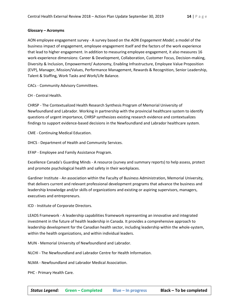#### **Glossary – Acronyms**

AON employee engagement survey - A survey based on the *AON Engagement Model*; a model of the business impact of engagement, employee engagement itself and the factors of the work experience that lead to higher engagement. In addition to measuring employee engagement, it also measures 16 work-experience dimensions: Career & Development, Collaboration, Customer Focus, Decision-making, Diversity & Inclusion, Empowerment/ Autonomy, Enabling Infrastructure, Employee Value Proposition (EVP), Manager, Mission/Values, Performance Management, Rewards & Recognition, Senior Leadership, Talent & Staffing, Work Tasks and Work/Life Balance.

CACs - Community Advisory Committees.

CH - Central Health.

CHRSP - The Contextualized Health Research Synthesis Program of Memorial University of Newfoundland and Labrador. Working in partnership with the provincial healthcare system to identify questions of urgent importance, CHRSP synthesizes existing research evidence and contextualizes findings to support evidence-based decisions in the Newfoundland and Labrador healthcare system.

CME - Continuing Medical Education.

DHCS - Department of Health and Community Services.

EFAP - Employee and Family Assistance Program.

Excellence Canada's Guarding Minds - A resource (survey and summary reports) to help assess, protect and promote psychological health and safety in their workplaces.

Gardiner Institute - An association within the Faculty of Business Administration, Memorial University, that delivers current and relevant professional development programs that advance the business and leadership knowledge and/or skills of organizations and existing or aspiring supervisors, managers, executives and entrepreneurs.

ICD - Institute of Corporate Directors.

LEADS Framework - A leadership capabilities framework representing an innovative and integrated investment in the future of health leadership in Canada. It provides a comprehensive approach to leadership development for the Canadian health sector, including leadership within the whole-system, within the health organizations, and within individual leaders.

MUN - Memorial University of Newfoundland and Labrador.

NLCHI - The Newfoundland and Labrador Centre for Health Information.

NLMA - Newfoundland and Labrador Medical Association.

PHC - Primary Health Care.